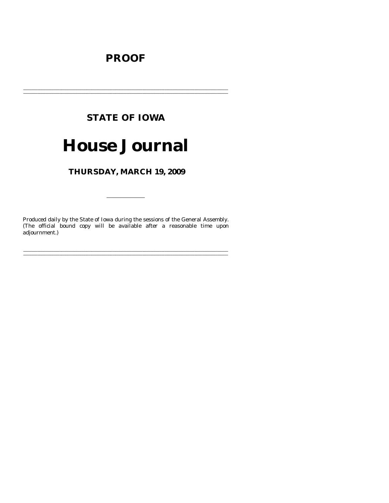## **PROOF**

## **STATE OF IOWA**

# **House Journal**

THURSDAY, MARCH 19, 2009

Produced daily by the State of Iowa during the sessions of the General Assembly. (The official bound copy will be available after a reasonable time upon adjournment.)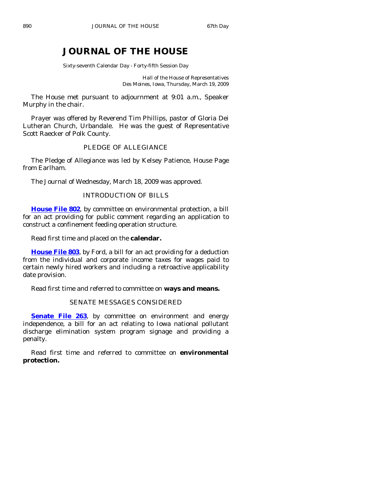## **JOURNAL OF THE HOUSE**

Sixty-seventh Calendar Day - Forty-fifth Session Day

Hall of the House of Representatives Des Moines, Iowa, Thursday, March 19, 2009

 The House met pursuant to adjournment at 9:01 a.m., Speaker Murphy in the chair.

 Prayer was offered by Reverend Tim Phillips, pastor of Gloria Dei Lutheran Church, Urbandale. He was the guest of Representative Scott Raecker of Polk County.

## PLEDGE OF ALLEGIANCE

 The Pledge of Allegiance was led by Kelsey Patience, House Page from Earlham.

The Journal of Wednesday, March 18, 2009 was approved.

## INTRODUCTION OF BILLS

**[House File 802](http://coolice.legis.state.ia.us/Cool-ICE/default.asp?Category=billinfo&Service=Billbook&frame=1&GA=83&hbill=HF802)**, by committee on environmental protection, a bill for an act providing for public comment regarding an application to construct a confinement feeding operation structure.

Read first time and placed on the **calendar.** 

**[House File 803](http://coolice.legis.state.ia.us/Cool-ICE/default.asp?Category=billinfo&Service=Billbook&frame=1&GA=83&hbill=HF803)**, by Ford, a bill for an act providing for a deduction from the individual and corporate income taxes for wages paid to certain newly hired workers and including a retroactive applicability date provision.

Read first time and referred to committee on **ways and means.** 

## SENATE MESSAGES CONSIDERED

**[Senate File 263](http://coolice.legis.state.ia.us/Cool-ICE/default.asp?Category=billinfo&Service=Billbook&frame=1&GA=83&hbill=SF263)**, by committee on environment and energy independence, a bill for an act relating to Iowa national pollutant discharge elimination system program signage and providing a penalty.

 Read first time and referred to committee on **environmental protection.**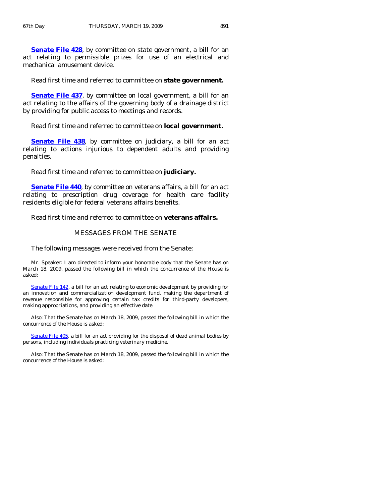**[Senate File 428](http://coolice.legis.state.ia.us/Cool-ICE/default.asp?Category=billinfo&Service=Billbook&frame=1&GA=83&hbill=SF428)**, by committee on state government, a bill for an act relating to permissible prizes for use of an electrical and mechanical amusement device.

Read first time and referred to committee on **state government.** 

**[Senate File 437](http://coolice.legis.state.ia.us/Cool-ICE/default.asp?Category=billinfo&Service=Billbook&frame=1&GA=83&hbill=SF437)**, by committee on local government, a bill for an act relating to the affairs of the governing body of a drainage district by providing for public access to meetings and records.

## Read first time and referred to committee on **local government.**

**[Senate File 438](http://coolice.legis.state.ia.us/Cool-ICE/default.asp?Category=billinfo&Service=Billbook&frame=1&GA=83&hbill=SF438)**, by committee on judiciary, a bill for an act relating to actions injurious to dependent adults and providing penalties.

Read first time and referred to committee on **judiciary.** 

**[Senate File 440](http://coolice.legis.state.ia.us/Cool-ICE/default.asp?Category=billinfo&Service=Billbook&frame=1&GA=83&hbill=SF440)**, by committee on veterans affairs, a bill for an act relating to prescription drug coverage for health care facility residents eligible for federal veterans affairs benefits.

Read first time and referred to committee on **veterans affairs.** 

#### MESSAGES FROM THE SENATE

The following messages were received from the Senate:

 Mr. Speaker: I am directed to inform your honorable body that the Senate has on March 18, 2009, passed the following bill in which the concurrence of the House is asked:

[Senate File 142](http://coolice.legis.state.ia.us/Cool-ICE/default.asp?Category=billinfo&Service=Billbook&frame=1&GA=83&hbill=SF142), a bill for an act relating to economic development by providing for an innovation and commercialization development fund, making the department of revenue responsible for approving certain tax credits for third-party developers, making appropriations, and providing an effective date.

 Also: That the Senate has on March 18, 2009, passed the following bill in which the concurrence of the House is asked:

[Senate File 405,](http://coolice.legis.state.ia.us/Cool-ICE/default.asp?Category=billinfo&Service=Billbook&frame=1&GA=83&hbill=SF405) a bill for an act providing for the disposal of dead animal bodies by persons, including individuals practicing veterinary medicine.

 Also: That the Senate has on March 18, 2009, passed the following bill in which the concurrence of the House is asked: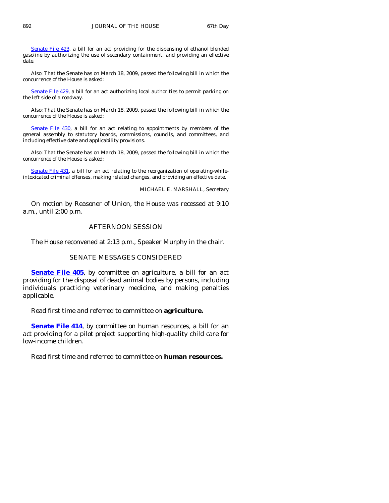[Senate File 423](http://coolice.legis.state.ia.us/Cool-ICE/default.asp?Category=billinfo&Service=Billbook&frame=1&GA=83&hbill=SF423), a bill for an act providing for the dispensing of ethanol blended gasoline by authorizing the use of secondary containment, and providing an effective date.

 Also: That the Senate has on March 18, 2009, passed the following bill in which the concurrence of the House is asked:

[Senate File 429,](http://coolice.legis.state.ia.us/Cool-ICE/default.asp?Category=billinfo&Service=Billbook&frame=1&GA=83&hbill=SF429) a bill for an act authorizing local authorities to permit parking on the left side of a roadway.

 Also: That the Senate has on March 18, 2009, passed the following bill in which the concurrence of the House is asked:

[Senate File 430,](http://coolice.legis.state.ia.us/Cool-ICE/default.asp?Category=billinfo&Service=Billbook&frame=1&GA=83&hbill=SF430) a bill for an act relating to appointments by members of the general assembly to statutory boards, commissions, councils, and committees, and including effective date and applicability provisions.

 Also: That the Senate has on March 18, 2009, passed the following bill in which the concurrence of the House is asked:

[Senate File 431](http://coolice.legis.state.ia.us/Cool-ICE/default.asp?Category=billinfo&Service=Billbook&frame=1&GA=83&hbill=SF431), a bill for an act relating to the reorganization of operating-whileintoxicated criminal offenses, making related changes, and providing an effective date.

MICHAEL E. MARSHALL, Secretary

 On motion by Reasoner of Union, the House was recessed at 9:10 a.m., until 2:00 p.m.

## AFTERNOON SESSION

The House reconvened at 2:13 p.m., Speaker Murphy in the chair.

## SENATE MESSAGES CONSIDERED

**[Senate File 405](http://coolice.legis.state.ia.us/Cool-ICE/default.asp?Category=billinfo&Service=Billbook&frame=1&GA=83&hbill=SF405)**, by committee on agriculture, a bill for an act providing for the disposal of dead animal bodies by persons, including individuals practicing veterinary medicine, and making penalties applicable.

Read first time and referred to committee on **agriculture.** 

**[Senate File 414](http://coolice.legis.state.ia.us/Cool-ICE/default.asp?Category=billinfo&Service=Billbook&frame=1&GA=83&hbill=SF414)**, by committee on human resources, a bill for an act providing for a pilot project supporting high-quality child care for low-income children.

Read first time and referred to committee on **human resources.**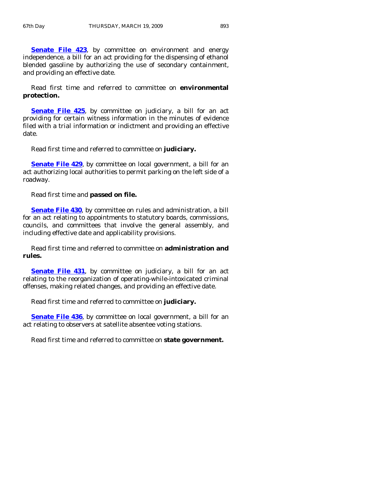**[Senate File 423](http://coolice.legis.state.ia.us/Cool-ICE/default.asp?Category=billinfo&Service=Billbook&frame=1&GA=83&hbill=SF423)**, by committee on environment and energy independence, a bill for an act providing for the dispensing of ethanol blended gasoline by authorizing the use of secondary containment, and providing an effective date.

 Read first time and referred to committee on **environmental protection.** 

**[Senate File 425](http://coolice.legis.state.ia.us/Cool-ICE/default.asp?Category=billinfo&Service=Billbook&frame=1&GA=83&hbill=SF425)**, by committee on judiciary, a bill for an act providing for certain witness information in the minutes of evidence filed with a trial information or indictment and providing an effective date.

Read first time and referred to committee on **judiciary.** 

**[Senate File 429](http://coolice.legis.state.ia.us/Cool-ICE/default.asp?Category=billinfo&Service=Billbook&frame=1&GA=83&hbill=SF429)**, by committee on local government, a bill for an act authorizing local authorities to permit parking on the left side of a roadway.

Read first time and **passed on file.** 

**[Senate File 430](http://coolice.legis.state.ia.us/Cool-ICE/default.asp?Category=billinfo&Service=Billbook&frame=1&GA=83&hbill=SF430)**, by committee on rules and administration, a bill for an act relating to appointments to statutory boards, commissions, councils, and committees that involve the general assembly, and including effective date and applicability provisions.

 Read first time and referred to committee on **administration and rules.** 

**[Senate File 431](http://coolice.legis.state.ia.us/Cool-ICE/default.asp?Category=billinfo&Service=Billbook&frame=1&GA=83&hbill=SF431)**, by committee on judiciary, a bill for an act relating to the reorganization of operating-while-intoxicated criminal offenses, making related changes, and providing an effective date.

Read first time and referred to committee on **judiciary.** 

**[Senate File 436](http://coolice.legis.state.ia.us/Cool-ICE/default.asp?Category=billinfo&Service=Billbook&frame=1&GA=83&hbill=SF436)**, by committee on local government, a bill for an act relating to observers at satellite absentee voting stations.

Read first time and referred to committee on **state government.**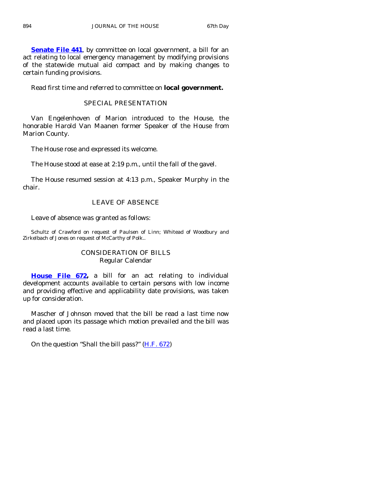**[Senate File 441](http://coolice.legis.state.ia.us/Cool-ICE/default.asp?Category=billinfo&Service=Billbook&frame=1&GA=83&hbill=SF441)**, by committee on local government, a bill for an act relating to local emergency management by modifying provisions of the statewide mutual aid compact and by making changes to certain funding provisions.

Read first time and referred to committee on **local government.** 

## SPECIAL PRESENTATION

 Van Engelenhoven of Marion introduced to the House, the honorable Harold Van Maanen former Speaker of the House from Marion County.

The House rose and expressed its welcome.

The House stood at ease at 2:19 p.m., until the fall of the gavel.

 The House resumed session at 4:13 p.m., Speaker Murphy in the chair.

## LEAVE OF ABSENCE

Leave of absence was granted as follows:

Schultz of Crawford on request of Paulsen of Linn; Whitead of Woodbury and Zirkelbach of Jones on request of McCarthy of Polk..

## CONSIDERATION OF BILLS Regular Calendar

**[House File 672](http://coolice.legis.state.ia.us/Cool-ICE/default.asp?Category=billinfo&Service=Billbook&frame=1&GA=83&hbill=HF672),** a bill for an act relating to individual development accounts available to certain persons with low income and providing effective and applicability date provisions, was taken up for consideration.

 Mascher of Johnson moved that the bill be read a last time now and placed upon its passage which motion prevailed and the bill was read a last time.

On the question "Shall the bill pass?" [\(H.F. 672](http://coolice.legis.state.ia.us/Cool-ICE/default.asp?Category=billinfo&Service=Billbook&frame=1&GA=83&hbill=HF672))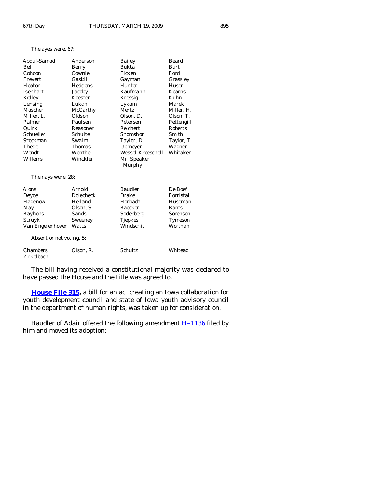Zirkelbach

| Abdul-Samad              | Anderson      | <b>Bailey</b>     | <b>Beard</b>  |
|--------------------------|---------------|-------------------|---------------|
| Bell                     | Berry         | <b>Bukta</b>      | <b>Burt</b>   |
| Cohoon                   | Cownie        | Ficken            | Ford          |
| Frevert                  | Gaskill       | Gayman            | Grassley      |
| Heaton                   | Heddens       | Hunter            | Huser         |
| <b>Isenhart</b>          | Jacoby        | Kaufmann          | <b>Kearns</b> |
| Kelley                   | Koester       | Kressig           | Kuhn          |
| Lensing                  | Lukan         | Lykam             | Marek         |
| Mascher                  | McCarthy      | Mertz             | Miller, H.    |
| Miller, L.               | Oldson        | Olson, D.         | Olson, T.     |
| Palmer                   | Paulsen       | Petersen          | Pettengill    |
| Quirk                    | Reasoner      | Reichert          | Roberts       |
| Schueller                | Schulte       | Shomshor          | Smith         |
| Steckman                 | Swaim         | Taylor, D.        | Taylor, T.    |
| Thede                    | <b>Thomas</b> | Upmeyer           | Wagner        |
| Wendt                    | Wenthe        | Wessel-Kroeschell | Whitaker      |
| Willems                  | Winckler      | Mr. Speaker       |               |
|                          |               | Murphy            |               |
| The nays were, 28:       |               |                   |               |
| Alons                    | Arnold        | <b>Baudler</b>    | De Boef       |
| Deyoe                    | Dolecheck     | Drake             | Forristall    |
| Hagenow                  | Helland       | Horbach           | Huseman       |
| May                      | Olson, S.     | Raecker           | Rants         |
| Rayhons                  | Sands         | Soderberg         | Sorenson      |
| Struyk                   | Sweeney       | <b>Tjepkes</b>    | Tymeson       |
| Van Engelenhoven         | Watts         | Windschitl        | Worthan       |
| Absent or not voting, 5: |               |                   |               |
| Chambers                 | Olson. R.     | Schultz           | Whitead       |

 The bill having received a constitutional majority was declared to have passed the House and the title was agreed to.

**[House File 315,](http://coolice.legis.state.ia.us/Cool-ICE/default.asp?Category=billinfo&Service=Billbook&frame=1&GA=83&hbill=HF315)** a bill for an act creating an Iowa collaboration for youth development council and state of Iowa youth advisory council in the department of human rights, was taken up for consideration.

Baudler of Adair offered the following amendment **H-1136** filed by him and moved its adoption: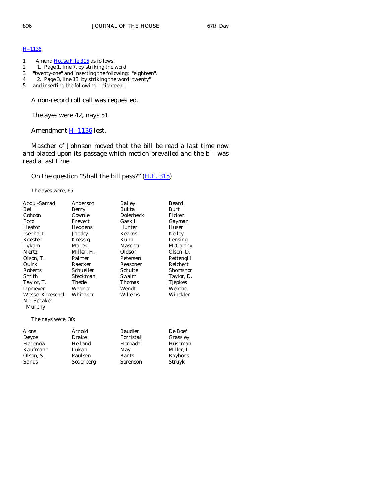## [H–1136](http://coolice.legis.state.ia.us/Cool-ICE/default.asp?Category=billinfo&Service=Billbook&frame=1&GA=83&hbill=H1136)

- 1 Amend <u>[House File 315](http://coolice.legis.state.ia.us/Cool-ICE/default.asp?Category=billinfo&Service=Billbook&frame=1&GA=83&hbill=HF315)</u> as follows:<br>2 1. Page 1, line 7, by striking the v
- 2 1. Page 1, line 7, by striking the word
- 3 "twenty-one" and inserting the following: "eighteen".
- 4 2. Page 3, line 13, by striking the word "twenty"
- 5 and inserting the following: "eighteen".

A non-record roll call was requested.

The ayes were 42, nays 51.

Amendment **H-1136** lost.

 Mascher of Johnson moved that the bill be read a last time now and placed upon its passage which motion prevailed and the bill was read a last time.

On the question "Shall the bill pass?" [\(H.F. 315](http://coolice.legis.state.ia.us/Cool-ICE/default.asp?Category=billinfo&Service=Billbook&frame=1&GA=83&hbill=HF315))

The ayes were, 65:

| Abdul-Samad           | Anderson   | Bailey         | Beard      |
|-----------------------|------------|----------------|------------|
| Bell                  | Berry      | Bukta          | Burt       |
| Cohoon                | Cownie     | Dolecheck      | Ficken     |
| Ford                  | Frevert    | Gaskill        | Gayman     |
| Heaton                | Heddens    | Hunter         | Huser      |
| <b>Isenhart</b>       | Jacoby     | Kearns         | Kelley     |
| Koester               | Kressig    | Kuhn           | Lensing    |
| Lykam                 | Marek      | Mascher        | McCarthy   |
| Mertz                 | Miller, H. | Oldson         | Olson, D.  |
| Olson, T.             | Palmer     | Petersen       | Pettengill |
| Quirk                 | Raecker    | Reasoner       | Reichert   |
| <b>Roberts</b>        | Schueller  | Schulte        | Shomshor   |
| Smith                 | Steckman   | Swaim          | Taylor, D. |
| Taylor, T.            | Thede      | <b>Thomas</b>  | Tjepkes    |
| Upmeyer               | Wagner     | Wendt          | Wenthe     |
| Wessel-Kroeschell     | Whitaker   | Willems        | Winckler   |
| Mr. Speaker<br>Murphy |            |                |            |
| The nays were, 30:    |            |                |            |
| Alons                 | Arnold     | <b>Baudler</b> | De Boef    |
| Deyoe                 | Drake      | Forristall     | Grassley   |
| Hagenow               | Helland    | Horbach        | Huseman    |
| Kaufmann              | Lukan      | May            | Miller, L. |
| Olson, S.             | Paulsen    | Rants          | Rayhons    |

Sands Soderberg Sorenson Struyk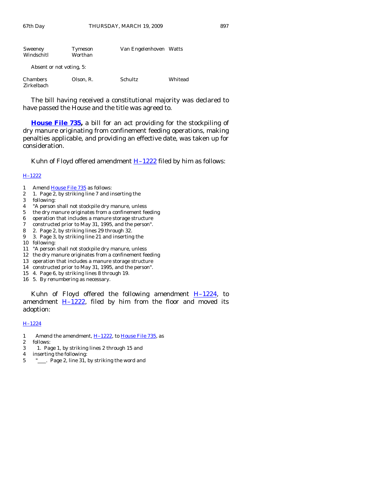| Sweeney<br>Windschitl         | Tymeson<br>Worthan | Van Engelenhoven Watts |         |
|-------------------------------|--------------------|------------------------|---------|
| Absent or not voting, 5:      |                    |                        |         |
| <b>Chambers</b><br>Zirkelbach | Olson, R.          | Schultz                | Whitead |

 The bill having received a constitutional majority was declared to have passed the House and the title was agreed to.

**[House File 735](http://coolice.legis.state.ia.us/Cool-ICE/default.asp?Category=billinfo&Service=Billbook&frame=1&GA=83&hbill=HF735),** a bill for an act providing for the stockpiling of dry manure originating from confinement feeding operations, making penalties applicable, and providing an effective date, was taken up for consideration.

Kuhn of Floyd offered amendment  $H-1222$  filed by him as follows:

#### [H–1222](http://coolice.legis.state.ia.us/Cool-ICE/default.asp?Category=billinfo&Service=Billbook&frame=1&GA=83&hbill=H1222)

- 1 Amend [House File 735](http://coolice.legis.state.ia.us/Cool-ICE/default.asp?Category=billinfo&Service=Billbook&frame=1&GA=83&hbill=HF735) as follows:
- 2 1. Page 2, by striking line 7 and inserting the
- 3 following:
- 4 "A person shall not stockpile dry manure, unless
- 5 the dry manure originates from a confinement feeding
- 6 operation that includes a manure storage structure
- 7 constructed prior to May 31, 1995, and the person".
- 8 2. Page 2, by striking lines 29 through 32.
- 9 3. Page 3, by striking line 21 and inserting the
- 10 following:
- 11 "A person shall not stockpile dry manure, unless
- 12 the dry manure originates from a confinement feeding
- 13 operation that includes a manure storage structure
- 14 constructed prior to May 31, 1995, and the person".
- 15 4. Page 6, by striking lines 8 through 19.
- 16 5. By renumbering as necessary.

Kuhn of Floyd offered the following amendment  $H-1224$ , to amendment  $H-1222$ , filed by him from the floor and moved its adoption:

#### [H–1224](http://coolice.legis.state.ia.us/Cool-ICE/default.asp?Category=billinfo&Service=Billbook&frame=1&GA=83&hbill=H1224)

- 1 Amend the amendment, H-1222, to [House File 735,](http://coolice.legis.state.ia.us/Cool-ICE/default.asp?Category=billinfo&Service=Billbook&frame=1&GA=83&hbill=HF735) as
- 2 follows:
- 3 1. Page 1, by striking lines 2 through 15 and
- 4 inserting the following:
- 5  $"$ . Page 2, line 31, by striking the word and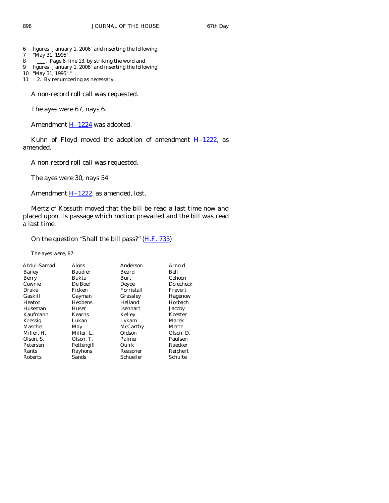- 6 figures "January 1, 2006" and inserting the following:
- 7 "May 31, 1995".
- 8 . Page 6, line 13, by striking the word and
- 9 figures "January 1, 2006" and inserting the following:
- 10 "May 31, 1995".
- 11 2. By renumbering as necessary.

A non-record roll call was requested.

The ayes were 67, nays 6.

Amendment **H-1224** was adopted.

Kuhn of Floyd moved the adoption of amendment  $H-1222$ , as amended.

A non-record roll call was requested.

The ayes were 30, nays 54.

Amendment **H-1222**, as amended, lost.

 Mertz of Kossuth moved that the bill be read a last time now and placed upon its passage which motion prevailed and the bill was read a last time.

On the question "Shall the bill pass?" [\(H.F. 735](http://coolice.legis.state.ia.us/Cool-ICE/default.asp?Category=billinfo&Service=Billbook&frame=1&GA=83&hbill=HF735))

The ayes were, 87:

| Abdul-Samad | Alons          | Anderson   | Arnold         |
|-------------|----------------|------------|----------------|
| Bailey      | <b>Baudler</b> | Beard      | Bell           |
| Berry       | Bukta          | Burt       | Cohoon         |
| Cownie      | De Boef        | Deyoe      | Dolecheck      |
| Drake       | Ficken         | Forristall | Frevert        |
| Gaskill     | Gayman         | Grassley   | <b>Hagenow</b> |
| Heaton      | Heddens        | Helland    | Horbach        |
| Huseman     | Huser          | Isenhart   | Jacoby         |
| Kaufmann    | Kearns         | Kelley     | Koester        |
| Kressig     | Lukan          | Lykam      | Marek          |
| Mascher     | May            | McCarthy   | Mertz          |
| Miller, H.  | Miller, L.     | Oldson     | Olson, D.      |
| Olson, S.   | Olson, T.      | Palmer     | Paulsen        |
| Petersen    | Pettengill     | Quirk      | Raecker        |
| Rants       | Rayhons        | Reasoner   | Reichert       |
| Roberts     | Sands          | Schueller  | Schulte        |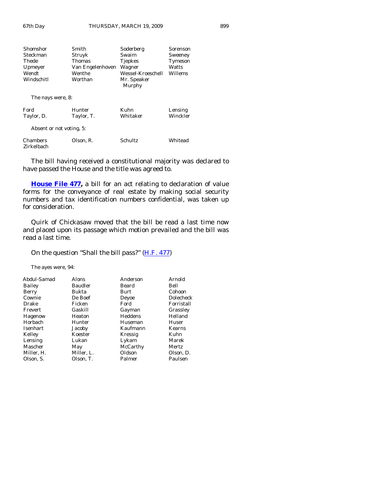| Shomshor          | Smith            | Soderberg         | Sorenson |
|-------------------|------------------|-------------------|----------|
| Steckman          | Struyk           | Swaim             | Sweeney  |
| Thede             | Thomas           | <b>Tjepkes</b>    | Tymeson  |
| Upmeyer           | Van Engelenhoven | Wagner            | Watts    |
| Wendt             | Wenthe           | Wessel-Kroeschell | Willems  |
| Windschitl        | Worthan          | Mr. Speaker       |          |
|                   |                  | Murphy            |          |
| The nays were, 8: |                  |                   |          |
| Ford              | Hunter           | Kuhn              | Lensing  |
| Taylor, D.        | Taylor, T.       | Whitaker          | Winckler |

Absent or not voting, 5:

| <b>Chambers</b> | Olson, R. | Schultz | Whitead |
|-----------------|-----------|---------|---------|
| Zirkelbach      |           |         |         |

 The bill having received a constitutional majority was declared to have passed the House and the title was agreed to.

**[House File 477](http://coolice.legis.state.ia.us/Cool-ICE/default.asp?Category=billinfo&Service=Billbook&frame=1&GA=83&hbill=HF477),** a bill for an act relating to declaration of value forms for the conveyance of real estate by making social security numbers and tax identification numbers confidential, was taken up for consideration.

 Quirk of Chickasaw moved that the bill be read a last time now and placed upon its passage which motion prevailed and the bill was read a last time.

On the question "Shall the bill pass?" [\(H.F. 477](http://coolice.legis.state.ia.us/Cool-ICE/default.asp?Category=billinfo&Service=Billbook&frame=1&GA=83&hbill=HF477))

The ayes were, 94:

| Abdul-Samad | Alons      | Anderson | Arnold     |
|-------------|------------|----------|------------|
| Bailey      | Baudler    | Beard    | Bell       |
| Berry       | Bukta      | Burt     | Cohoon     |
| Cownie      | De Boef    | Deyoe    | Dolecheck  |
| Drake       | Ficken     | Ford     | Forristall |
| Frevert     | Gaskill    | Gayman   | Grassley   |
| Hagenow     | Heaton     | Heddens  | Helland    |
| Horbach     | Hunter     | Huseman  | Huser      |
| Isenhart    | Jacoby     | Kaufmann | Kearns     |
| Kelley      | Koester    | Kressig  | Kuhn       |
| Lensing     | Lukan      | Lykam    | Marek      |
| Mascher     | May        | McCarthy | Mertz      |
| Miller, H.  | Miller, L. | Oldson   | Olson, D.  |
| Olson, S.   | Olson, T.  | Palmer   | Paulsen    |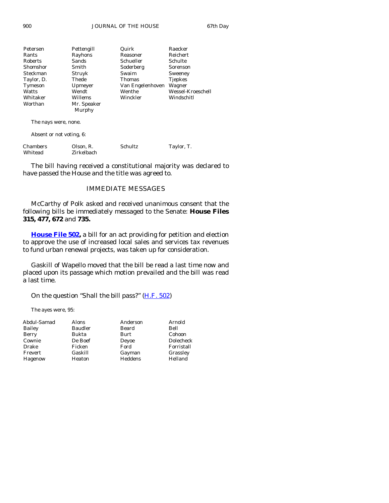900 JOURNAL OF THE HOUSE 67th Day

| Petersen   | Pettengill  | Quirk            | Raecker           |
|------------|-------------|------------------|-------------------|
| Rants      | Rayhons     | Reasoner         | <b>Reichert</b>   |
| Roberts    | Sands       | Schueller        | Schulte           |
| Shomshor   | Smith       | Soderberg        | Sorenson          |
| Steckman   | Struyk      | Swaim            | Sweeney           |
| Taylor, D. | Thede       | <b>Thomas</b>    | <b>Tiepkes</b>    |
| Tymeson    | Upmeyer     | Van Engelenhoven | Wagner            |
| Watts      | Wendt       | Wenthe           | Wessel-Kroeschell |
| Whitaker   | Willems     | Winckler         | Windschitl        |
| Worthan    | Mr. Speaker |                  |                   |
|            | Murphy      |                  |                   |

The nays were, none.

Absent or not voting, 6:

| <b>Chambers</b> | Olson, R.  | Schultz | Taylor, T. |
|-----------------|------------|---------|------------|
| Whitead         | Zirkelbach |         |            |

 The bill having received a constitutional majority was declared to have passed the House and the title was agreed to.

## IMMEDIATE MESSAGES

 McCarthy of Polk asked and received unanimous consent that the following bills be immediately messaged to the Senate: **House Files 315, 477, 672** and **735.**

**[House File 502,](http://coolice.legis.state.ia.us/Cool-ICE/default.asp?Category=billinfo&Service=Billbook&frame=1&GA=83&hbill=HF502)** a bill for an act providing for petition and election to approve the use of increased local sales and services tax revenues to fund urban renewal projects, was taken up for consideration.

 Gaskill of Wapello moved that the bill be read a last time now and placed upon its passage which motion prevailed and the bill was read a last time.

On the question "Shall the bill pass?" [\(H.F. 502](http://coolice.legis.state.ia.us/Cool-ICE/default.asp?Category=billinfo&Service=Billbook&frame=1&GA=83&hbill=HF502))

The ayes were, 95:

| Abdul-Samad | Alons          | Anderson | Arnold           |
|-------------|----------------|----------|------------------|
| Bailey      | <b>Baudler</b> | Beard    | Bell             |
| Berry       | Bukta          | Burt     | Cohoon           |
| Cownie      | De Boef        | Deyoe    | <b>Dolecheck</b> |
| Drake       | Ficken         | Ford     | Forristall       |
| Frevert     | Gaskill        | Gayman   | Grassley         |
| Hagenow     | Heaton         | Heddens  | Helland          |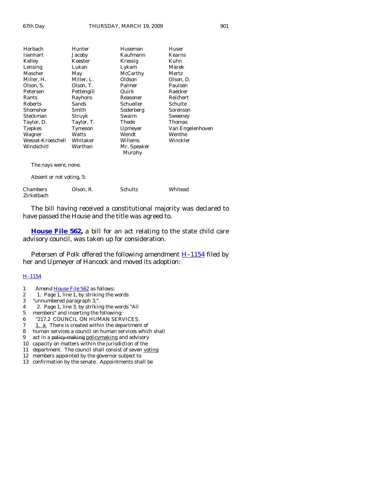| Horbach                  | Hunter     | Huseman               | Huser            |  |
|--------------------------|------------|-----------------------|------------------|--|
| <b>Isenhart</b>          | Jacoby     | Kaufmann              | <b>Kearns</b>    |  |
| Kelley                   | Koester    | Kressig               | Kuhn             |  |
| Lensing                  | Lukan      | Lykam                 | Marek            |  |
| Mascher                  | May        | McCarthy              | <b>Mertz</b>     |  |
| Miller, H.               | Miller, L. | Oldson                | Olson, D.        |  |
| Olson, S.                | Olson, T.  | Palmer                | Paulsen          |  |
| Petersen                 | Pettengill | Quirk                 | Raecker          |  |
| Rants                    | Rayhons    | Reasoner              | Reichert         |  |
| <b>Roberts</b>           | Sands      | Schueller             | Schulte          |  |
| Shomshor                 | Smith      | Soderberg             | Sorenson         |  |
| Steckman                 | Struyk     | Swaim                 | Sweeney          |  |
| Taylor, D.               | Taylor, T. | Thede                 | Thomas           |  |
| <b>Tjepkes</b>           | Tymeson    | Upmeyer               | Van Engelenhoven |  |
| Wagner                   | Watts      | Wendt                 | Wenthe           |  |
| Wessel-Kroeschell        | Whitaker   | Willems               | Winckler         |  |
| Windschitl               | Worthan    | Mr. Speaker<br>Murphy |                  |  |
| The nays were, none.     |            |                       |                  |  |
| Absent or not voting, 5: |            |                       |                  |  |
| Chambers<br>Zirkelbach   | Olson, R.  | Schultz               | Whitead          |  |

 The bill having received a constitutional majority was declared to have passed the House and the title was agreed to.

**[House File 562](http://coolice.legis.state.ia.us/Cool-ICE/default.asp?Category=billinfo&Service=Billbook&frame=1&GA=83&hbill=HF562),** a bill for an act relating to the state child care advisory council, was taken up for consideration.

Petersen of Polk offered the following amendment  $H-1154$  filed by her and Upmeyer of Hancock and moved its adoption:

#### [H–1154](http://coolice.legis.state.ia.us/Cool-ICE/default.asp?Category=billinfo&Service=Billbook&frame=1&GA=83&hbill=H1154)

- 1 Amend [House File 562](http://coolice.legis.state.ia.us/Cool-ICE/default.asp?Category=billinfo&Service=Billbook&frame=1&GA=83&hbill=HF562) as follows:
- 2 1. Page 1, line 1, by striking the words
- 3 "unnumbered paragraph 3,".
- 4 2. Page 1, line 3, by striking the words "All
- 5 members" and inserting the following:
- 6 "217.2 COUNCIL ON HUMAN SERVICES.
- $7 \quad \underline{1.}$  a. There is created within the department of
- 8 human services a council on human services which shall
- 9 act in a policy making policymaking and advisory
- 10 capacity on matters within the jurisdiction of the
- 11 department. The council shall consist of seven voting
- 12 members appointed by the governor subject to
- 13 confirmation by the senate. Appointments shall be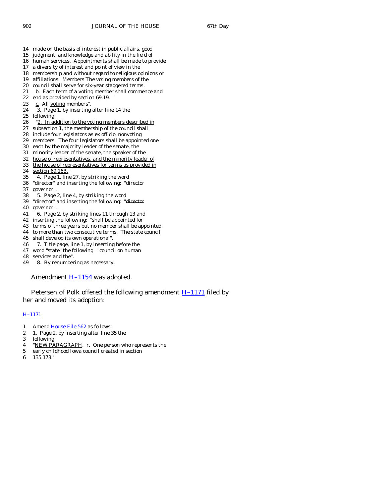- 14 made on the basis of interest in public affairs, good
- 15 judgment, and knowledge and ability in the field of
- 16 human services. Appointments shall be made to provide
- 17 a diversity of interest and point of view in the
- 18 membership and without regard to religious opinions or
- 19 affiliations. Members The voting members of the
- 20 council shall serve for six-year staggered terms.
- 21 b. Each term <u>of a voting member</u> shall commence and 22 end as provided by section 69.19. end as provided by section 69.19.
- 23 c. All voting members".
- 
- 24 3. Page 1, by inserting after line 14 the
- 25 following:
- 26 "2. In addition to the voting members described in
- 27 subsection 1, the membership of the council shall
- 28 include four legislators as ex officio, nonvoting
- 29 members. The four legislators shall be appointed one
- 30 each by the majority leader of the senate, the
- 31 minority leader of the senate, the speaker of the
- 32 house of representatives, and the minority leader of
- 33 the house of representatives for terms as provided in
- 34 section 69.16B."
- 35 4. Page 1, line 27, by striking the word
- 36 "director" and inserting the following: "director
- 37 governor".
- 38 5. Page 2, line 4, by striking the word
- 39 "director" and inserting the following: "director
- 40 governor".
- 41 6. Page 2, by striking lines 11 through 13 and
- 42 inserting the following: "shall be appointed for
- 43 terms of three years but no member shall be appointed
- 44 to more than two consecutive terms. The state council
- 45 shall develop its own operational".
- 46 7. Title page, line 1, by inserting before the
- 47 word "state" the following: "council on human
- 48 services and the".
- 49 8. By renumbering as necessary.

Amendment  $H-1154$  was adopted.

Petersen of Polk offered the following amendment **H-1171** filed by her and moved its adoption:

#### [H–1171](http://coolice.legis.state.ia.us/Cool-ICE/default.asp?Category=billinfo&Service=Billbook&frame=1&GA=83&hbill=H1171)

- 1 Amend [House File 562](http://coolice.legis.state.ia.us/Cool-ICE/default.asp?Category=billinfo&Service=Billbook&frame=1&GA=83&hbill=HF562) as follows:
- 2 1. Page 2, by inserting after line 35 the
- 3 following:
- 4 "NEW PARAGRAPH. r. One person who represents the
- 5 early childhood Iowa council created in section
- 6 135.173."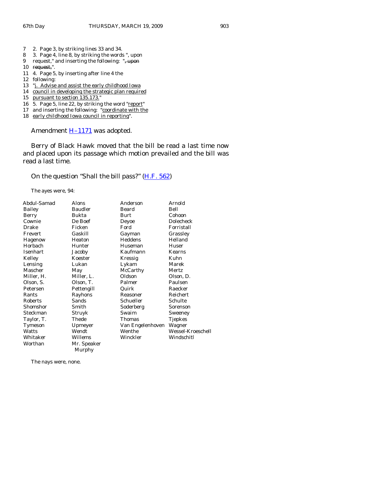- 7 2. Page 3, by striking lines 33 and 34.
- 8 3. Page 4, line 8, by striking the words ", upon
- 9 request," and inserting the following: ", upon
- 10 request,".
- 11 4. Page 5, by inserting after line 4 the
- 12 following:
- 13 "j. Advise and assist the early childhood Iowa
- 14 council in developing the strategic plan required
- 15 pursuant to section 135.173."
- 16 5. Page 5, line 22, by striking the word "report"
- 17 and inserting the following: "coordinate with the
- 18 early childhood Iowa council in reporting".

Amendment  $H-1171$  was adopted.

 Berry of Black Hawk moved that the bill be read a last time now and placed upon its passage which motion prevailed and the bill was read a last time.

On the question "Shall the bill pass?" [\(H.F. 562](http://coolice.legis.state.ia.us/Cool-ICE/default.asp?Category=billinfo&Service=Billbook&frame=1&GA=83&hbill=HF562))

The ayes were, 94:

| Abdul-Samad | Alons          | Anderson         | Arnold            |
|-------------|----------------|------------------|-------------------|
| Bailey      | <b>Baudler</b> | Beard            | Bell              |
| Berry       | Bukta          | Burt             | Cohoon            |
| Cownie      | De Boef        | Deyoe            | Dolecheck         |
| Drake       | Ficken         | Ford             | Forristall        |
| Frevert     | Gaskill        | Gayman           | Grassley          |
| Hagenow     | Heaton         | Heddens          | Helland           |
| Horbach     | Hunter         | Huseman          | Huser             |
| Isenhart    | Jacoby         | Kaufmann         | Kearns            |
| Kelley      | Koester        | Kressig          | Kuhn              |
| Lensing     | Lukan          | Lykam            | Marek             |
| Mascher     | May            | McCarthy         | Mertz.            |
| Miller, H.  | Miller, L.     | Oldson           | Olson, D.         |
| Olson, S.   | Olson, T.      | Palmer           | Paulsen           |
| Petersen    | Pettengill     | Quirk            | Raecker           |
| Rants       | Rayhons        | Reasoner         | Reichert          |
| Roberts     | Sands          | Schueller        | Schulte           |
| Shomshor    | Smith          | Soderberg        | Sorenson          |
| Steckman    | Struyk         | Swaim            | Sweeney           |
| Taylor, T.  | Thede          | Thomas           | Tjepkes           |
| Tymeson     | Upmeyer        | Van Engelenhoven | Wagner            |
| Watts       | Wendt          | Wenthe           | Wessel-Kroeschell |
| Whitaker    | Willems        | Winckler         | Windschitl        |
| Worthan     | Mr. Speaker    |                  |                   |
|             | Murphy         |                  |                   |

The nays were, none.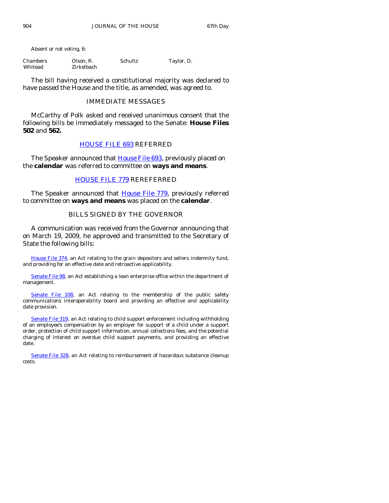Absent or not voting, 6:

| Chambers | Olson, R.  | Schultz | Taylor, D. |
|----------|------------|---------|------------|
| Whitead  | Zirkelbach |         |            |

 The bill having received a constitutional majority was declared to have passed the House and the title, as amended, was agreed to.

## IMMEDIATE MESSAGES

 McCarthy of Polk asked and received unanimous consent that the following bills be immediately messaged to the Senate: **House Files 502** and **562.**

## [HOUSE FILE 693](http://coolice.legis.state.ia.us/Cool-ICE/default.asp?Category=billinfo&Service=Billbook&frame=1&GA=83&hbill=HF693) REFERRED

The Speaker announced that **House File 693**, previously placed on the **calendar** was referred to committee on **ways and means**.

## [HOUSE FILE 779](http://coolice.legis.state.ia.us/Cool-ICE/default.asp?Category=billinfo&Service=Billbook&frame=1&GA=83&hbill=HF779) REREFERRED

The Speaker announced that [House File 779,](http://coolice.legis.state.ia.us/Cool-ICE/default.asp?Category=billinfo&Service=Billbook&frame=1&GA=83&hbill=HF779) previously referred to committee on **ways and means** was placed on the **calendar**.

## BILLS SIGNED BY THE GOVERNOR

 A communication was received from the Governor announcing that on March 19, 2009, he approved and transmitted to the Secretary of State the following bills:

[House File 374](http://coolice.legis.state.ia.us/Cool-ICE/default.asp?Category=billinfo&Service=Billbook&frame=1&GA=83&hbill=HF374), an Act relating to the grain depositors and sellers indemnity fund, and providing for an effective date and retroactive applicability.

[Senate File 98](http://coolice.legis.state.ia.us/Cool-ICE/default.asp?Category=billinfo&Service=Billbook&frame=1&GA=83&hbill=SF98), an Act establishing a lean enterprise office within the department of management.

[Senate File 108,](http://coolice.legis.state.ia.us/Cool-ICE/default.asp?Category=billinfo&Service=Billbook&frame=1&GA=83&hbill=SF108) an Act relating to the membership of the public safety communications interoperability board and providing an effective and applicability date provision.

[Senate File 319,](http://coolice.legis.state.ia.us/Cool-ICE/default.asp?Category=billinfo&Service=Billbook&frame=1&GA=83&hbill=SF319) an Act relating to child support enforcement including withholding of an employee's compensation by an employer for support of a child under a support order, protection of child support information, annual collections fees, and the potential charging of interest on overdue child support payments, and providing an effective date.

[Senate File 328,](http://coolice.legis.state.ia.us/Cool-ICE/default.asp?Category=billinfo&Service=Billbook&frame=1&GA=83&hbill=SF328) an Act relating to reimbursement of hazardous substance cleanup costs.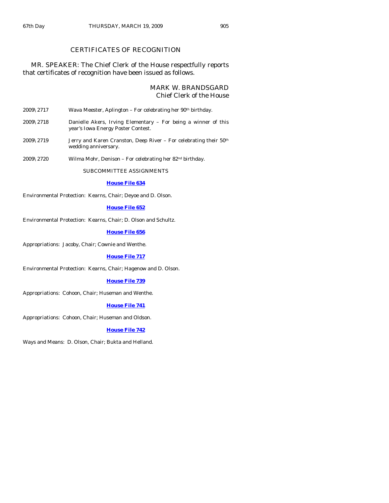## CERTIFICATES OF RECOGNITION

## MR. SPEAKER: The Chief Clerk of the House respectfully reports that certificates of recognition have been issued as follows.

## MARK W. BRANDSGARD Chief Clerk of the House

| $2009\backslash2717$ |  | Wava Meester, Aplington - For celebrating her 90 <sup>th</sup> birthday. |
|----------------------|--|--------------------------------------------------------------------------|
|                      |  |                                                                          |

- 2009\2718 Danielle Akers, Irving Elementary For being a winner of this year's Iowa Energy Poster Contest.
- 2009\2719 Jerry and Karen Cranston, Deep River For celebrating their  $50<sup>th</sup>$ wedding anniversary.
- 2009\2720 Wilma Mohr, Denison For celebrating her 82nd birthday.

SUBCOMMITTEE ASSIGNMENTS

#### **[House File 634](http://coolice.legis.state.ia.us/Cool-ICE/default.asp?Category=billinfo&Service=Billbook&frame=1&GA=83&hbill=HF634)**

Environmental Protection: Kearns, Chair; Deyoe and D. Olson.

#### **[House File 652](http://coolice.legis.state.ia.us/Cool-ICE/default.asp?Category=billinfo&Service=Billbook&frame=1&GA=83&hbill=HF652)**

Environmental Protection: Kearns, Chair; D. Olson and Schultz.

**[House File 656](http://coolice.legis.state.ia.us/Cool-ICE/default.asp?Category=billinfo&Service=Billbook&frame=1&GA=83&hbill=HF656)**

Appropriations: Jacoby, Chair; Cownie and Wenthe.

#### **[House File 717](http://coolice.legis.state.ia.us/Cool-ICE/default.asp?Category=billinfo&Service=Billbook&frame=1&GA=83&hbill=HF717)**

Environmental Protection: Kearns, Chair; Hagenow and D. Olson.

#### **[House File 739](http://coolice.legis.state.ia.us/Cool-ICE/default.asp?Category=billinfo&Service=Billbook&frame=1&GA=83&hbill=HF739)**

Appropriations: Cohoon, Chair; Huseman and Wenthe.

#### **[House File 741](http://coolice.legis.state.ia.us/Cool-ICE/default.asp?Category=billinfo&Service=Billbook&frame=1&GA=83&hbill=HF741)**

Appropriations: Cohoon, Chair; Huseman and Oldson.

#### **[House File 742](http://coolice.legis.state.ia.us/Cool-ICE/default.asp?Category=billinfo&Service=Billbook&frame=1&GA=83&hbill=HF742)**

Ways and Means: D. Olson, Chair; Bukta and Helland.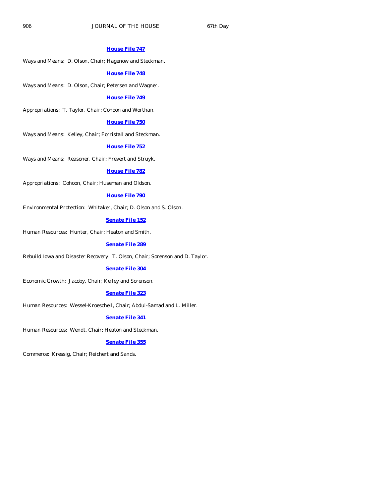#### **[House File 747](http://coolice.legis.state.ia.us/Cool-ICE/default.asp?Category=billinfo&Service=Billbook&frame=1&GA=83&hbill=HF747)**

Ways and Means: D. Olson, Chair; Hagenow and Steckman.

#### **[House File 748](http://coolice.legis.state.ia.us/Cool-ICE/default.asp?Category=billinfo&Service=Billbook&frame=1&GA=83&hbill=HF748)**

Ways and Means: D. Olson, Chair; Petersen and Wagner.

#### **[House File 749](http://coolice.legis.state.ia.us/Cool-ICE/default.asp?Category=billinfo&Service=Billbook&frame=1&GA=83&hbill=HF749)**

Appropriations: T. Taylor, Chair; Cohoon and Worthan.

## **[House File 750](http://coolice.legis.state.ia.us/Cool-ICE/default.asp?Category=billinfo&Service=Billbook&frame=1&GA=83&hbill=HF750)**

Ways and Means: Kelley, Chair; Forristall and Steckman.

#### **[House File 752](http://coolice.legis.state.ia.us/Cool-ICE/default.asp?Category=billinfo&Service=Billbook&frame=1&GA=83&hbill=HF752)**

Ways and Means: Reasoner, Chair; Frevert and Struyk.

#### **[House File 782](http://coolice.legis.state.ia.us/Cool-ICE/default.asp?Category=billinfo&Service=Billbook&frame=1&GA=83&hbill=HF782)**

Appropriations: Cohoon, Chair; Huseman and Oldson.

#### **[House File 790](http://coolice.legis.state.ia.us/Cool-ICE/default.asp?Category=billinfo&Service=Billbook&frame=1&GA=83&hbill=HF790)**

Environmental Protection: Whitaker, Chair; D. Olson and S. Olson.

## **[Senate File 152](http://coolice.legis.state.ia.us/Cool-ICE/default.asp?Category=billinfo&Service=Billbook&frame=1&GA=83&hbill=SF152)**

Human Resources: Hunter, Chair; Heaton and Smith.

## **[Senate File 289](http://coolice.legis.state.ia.us/Cool-ICE/default.asp?Category=billinfo&Service=Billbook&frame=1&GA=83&hbill=SF289)**

Rebuild Iowa and Disaster Recovery: T. Olson, Chair; Sorenson and D. Taylor.

## **[Senate File 304](http://coolice.legis.state.ia.us/Cool-ICE/default.asp?Category=billinfo&Service=Billbook&frame=1&GA=83&hbill=SF304)**

Economic Growth: Jacoby, Chair; Kelley and Sorenson.

## **[Senate File 323](http://coolice.legis.state.ia.us/Cool-ICE/default.asp?Category=billinfo&Service=Billbook&frame=1&GA=83&hbill=SF323)**

Human Resources: Wessel-Kroeschell, Chair; Abdul-Samad and L. Miller.

## **[Senate File 341](http://coolice.legis.state.ia.us/Cool-ICE/default.asp?Category=billinfo&Service=Billbook&frame=1&GA=83&hbill=SF341)**

Human Resources: Wendt, Chair; Heaton and Steckman.

#### **[Senate File 355](http://coolice.legis.state.ia.us/Cool-ICE/default.asp?Category=billinfo&Service=Billbook&frame=1&GA=83&hbill=SF355)**

Commerce: Kressig, Chair; Reichert and Sands.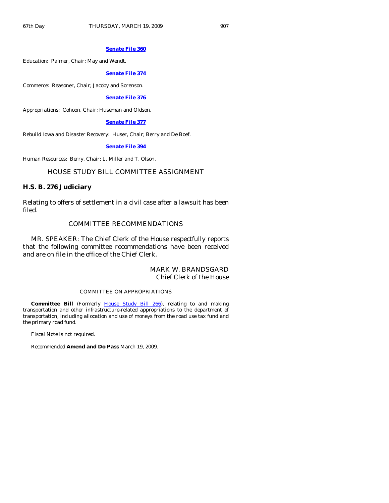#### **[Senate File 360](http://coolice.legis.state.ia.us/Cool-ICE/default.asp?Category=billinfo&Service=Billbook&frame=1&GA=83&hbill=SF360)**

Education: Palmer, Chair; May and Wendt.

#### **[Senate File 374](http://coolice.legis.state.ia.us/Cool-ICE/default.asp?Category=billinfo&Service=Billbook&frame=1&GA=83&hbill=SF374)**

Commerce: Reasoner, Chair; Jacoby and Sorenson.

## **[Senate File 376](http://coolice.legis.state.ia.us/Cool-ICE/default.asp?Category=billinfo&Service=Billbook&frame=1&GA=83&hbill=SF376)**

Appropriations: Cohoon, Chair; Huseman and Oldson.

#### **[Senate File 377](http://coolice.legis.state.ia.us/Cool-ICE/default.asp?Category=billinfo&Service=Billbook&frame=1&GA=83&hbill=SF377)**

Rebuild Iowa and Disaster Recovery: Huser, Chair; Berry and De Boef.

#### **[Senate File 394](http://coolice.legis.state.ia.us/Cool-ICE/default.asp?Category=billinfo&Service=Billbook&frame=1&GA=83&hbill=SF394)**

Human Resources: Berry, Chair; L. Miller and T. Olson.

## HOUSE STUDY BILL COMMITTEE ASSIGNMENT

#### **H.S. B. 276 Judiciary**

Relating to offers of settlement in a civil case after a lawsuit has been filed.

## COMMITTEE RECOMMENDATIONS

 MR. SPEAKER: The Chief Clerk of the House respectfully reports that the following committee recommendations have been received and are on file in the office of the Chief Clerk.

## MARK W. BRANDSGARD Chief Clerk of the House

#### COMMITTEE ON APPROPRIATIONS

 **Committee Bill** (Formerly [House Study Bill 266](http://coolice.legis.state.ia.us/Cool-ICE/default.asp?Category=billinfo&Service=Billbook&frame=1&GA=83&hbill=HSB266)), relating to and making transportation and other infrastructure-related appropriations to the department of transportation, including allocation and use of moneys from the road use tax fund and the primary road fund.

Fiscal Note is not required.

Recommended **Amend and Do Pass** March 19, 2009.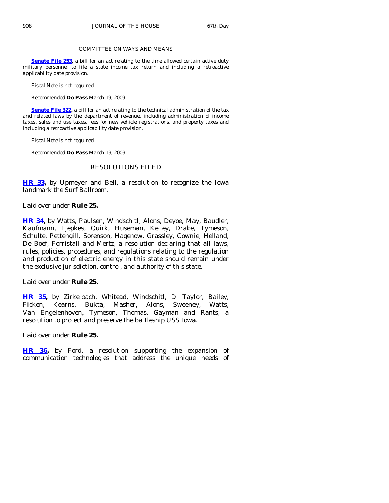#### COMMITTEE ON WAYS AND MEANS

**[Senate File 253](http://coolice.legis.state.ia.us/Cool-ICE/default.asp?Category=billinfo&Service=Billbook&frame=1&GA=83&hbill=SF253)**, a bill for an act relating to the time allowed certain active duty military personnel to file a state income tax return and including a retroactive applicability date provision.

Fiscal Note is not required.

Recommended **Do Pass** March 19, 2009.

**[Senate File 322](http://coolice.legis.state.ia.us/Cool-ICE/default.asp?Category=billinfo&Service=Billbook&frame=1&GA=83&hbill=SF322),** a bill for an act relating to the technical administration of the tax and related laws by the department of revenue, including administration of income taxes, sales and use taxes, fees for new vehicle registrations, and property taxes and including a retroactive applicability date provision.

Fiscal Note is not required.

Recommended **Do Pass** March 19, 2009.

## RESOLUTIONS FILED

**[HR 33,](http://coolice.legis.state.ia.us/Cool-ICE/default.asp?Category=billinfo&Service=Billbook&frame=1&GA=83&hbill=HR33)** by Upmeyer and Bell, a resolution to recognize the Iowa landmark the Surf Ballroom.

Laid over under **Rule 25.** 

**[HR 34](http://coolice.legis.state.ia.us/Cool-ICE/default.asp?Category=billinfo&Service=Billbook&frame=1&GA=83&hbill=HR34),** by Watts, Paulsen, Windschitl, Alons, Deyoe, May, Baudler, Kaufmann, Tjepkes, Quirk, Huseman, Kelley, Drake, Tymeson, Schulte, Pettengill, Sorenson, Hagenow, Grassley, Cownie, Helland, De Boef, Forristall and Mertz, a resolution declaring that all laws, rules, policies, procedures, and regulations relating to the regulation and production of electric energy in this state should remain under the exclusive jurisdiction, control, and authority of this state.

Laid over under **Rule 25.** 

**[HR 35,](http://coolice.legis.state.ia.us/Cool-ICE/default.asp?Category=billinfo&Service=Billbook&frame=1&GA=83&hbill=HR35)** by Zirkelbach, Whitead, Windschitl, D. Taylor, Bailey, Ficken, Kearns, Bukta, Masher, Alons, Sweeney, Watts, Van Engelenhoven, Tymeson, Thomas, Gayman and Rants, a resolution to protect and preserve the battleship USS Iowa.

Laid over under **Rule 25.** 

**[HR 36,](http://coolice.legis.state.ia.us/Cool-ICE/default.asp?Category=billinfo&Service=Billbook&frame=1&GA=83&hbill=HR36)** by Ford, a resolution supporting the expansion of communication technologies that address the unique needs of